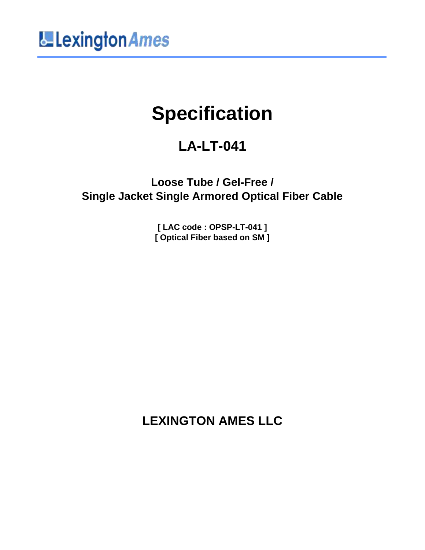

# **Specification**

# **LA-LT-041**

**Loose Tube / Gel-Free / Single Jacket Single Armored Optical Fiber Cable**

> **[ LAC code : OPSP-LT-041 ] [ Optical Fiber based on SM ]**

**LEXINGTON AMES LLC**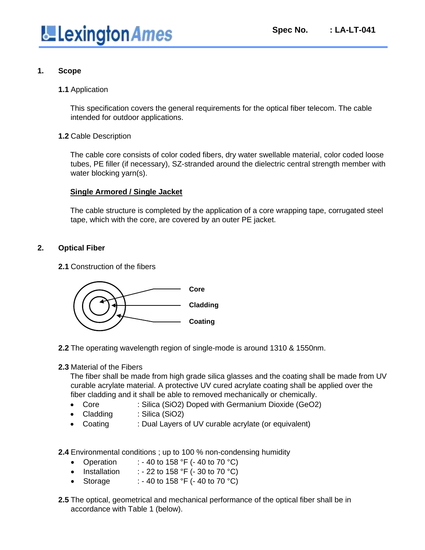

#### **1. Scope**

#### **1.1** Application

This specification covers the general requirements for the optical fiber telecom. The cable intended for outdoor applications.

#### **1.2** Cable Description

The cable core consists of color coded fibers, dry water swellable material, color coded loose tubes, PE filler (if necessary), SZ-stranded around the dielectric central strength member with water blocking yarn(s).

#### **Single Armored / Single Jacket**

The cable structure is completed by the application of a core wrapping tape, corrugated steel tape, which with the core, are covered by an outer PE jacket.

#### **2. Optical Fiber**

**2.1** Construction of the fibers



- **2.2** The operating wavelength region of single-mode is around 1310 & 1550nm.
- **2.3** Material of the Fibers

The fiber shall be made from high grade silica glasses and the coating shall be made from UV curable acrylate material. A protective UV cured acrylate coating shall be applied over the fiber cladding and it shall be able to removed mechanically or chemically.

- Core : Silica (SiO2) Doped with Germanium Dioxide (GeO2)
- Cladding : Silica (SiO2)
- Coating : Dual Layers of UV curable acrylate (or equivalent)

**2.4** Environmental conditions ; up to 100 % non-condensing humidity

- Operation : 40 to 158 °F (- 40 to 70 °C)
- Installation : 22 to 158  $\degree$ F (- 30 to 70  $\degree$ C)
- Storage : 40 to 158 °F (- 40 to 70 °C)
- **2.5** The optical, geometrical and mechanical performance of the optical fiber shall be in accordance with Table 1 (below).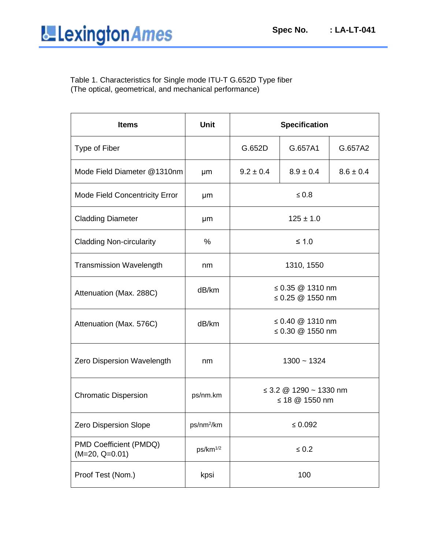Table 1. Characteristics for Single mode ITU-T G.652D Type fiber (The optical, geometrical, and mechanical performance)

| <b>Items</b>                               | <b>Unit</b>            | <b>Specification</b>                          |               |               |
|--------------------------------------------|------------------------|-----------------------------------------------|---------------|---------------|
| Type of Fiber                              |                        | G.652D                                        | G.657A1       | G.657A2       |
| Mode Field Diameter @1310nm                | μm                     | $9.2 \pm 0.4$                                 | $8.9 \pm 0.4$ | $8.6 \pm 0.4$ |
| <b>Mode Field Concentricity Error</b>      | μm                     | $\leq 0.8$                                    |               |               |
| <b>Cladding Diameter</b>                   | μm                     | $125 \pm 1.0$                                 |               |               |
| <b>Cladding Non-circularity</b>            | %                      | $\leq 1.0$                                    |               |               |
| <b>Transmission Wavelength</b>             | nm                     | 1310, 1550                                    |               |               |
| Attenuation (Max. 288C)                    | dB/km                  | ≤ 0.35 $@$ 1310 nm<br>≤ 0.25 $@$ 1550 nm      |               |               |
| Attenuation (Max. 576C)                    | dB/km                  | ≤ 0.40 $@$ 1310 nm<br>≤ 0.30 $@$ 1550 nm      |               |               |
| Zero Dispersion Wavelength                 | nm                     | $1300 - 1324$                                 |               |               |
| <b>Chromatic Dispersion</b>                | ps/nm.km               | $\leq$ 3.2 @ 1290 ~ 1330 nm<br>≤ 18 @ 1550 nm |               |               |
| Zero Dispersion Slope                      | ps/nm <sup>2</sup> /km | $\leq 0.092$                                  |               |               |
| PMD Coefficient (PMDQ)<br>$(M=20, Q=0.01)$ | ps/km <sup>1/2</sup>   | $\leq 0.2$                                    |               |               |
| Proof Test (Nom.)                          | kpsi                   | 100                                           |               |               |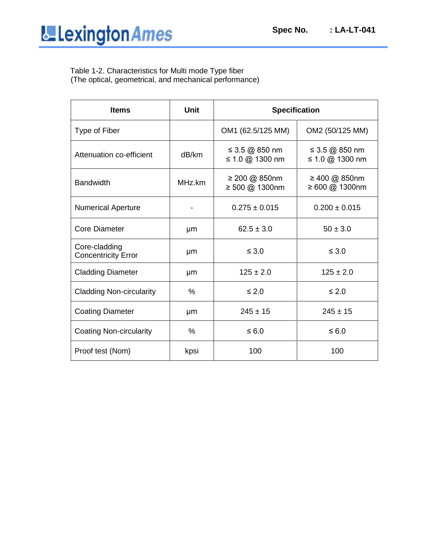Table 1-2. Characteristics for Multi mode Type fiber (The optical, geometrical, and mechanical performance)

| <b>Items</b>                                | <b>Unit</b> | <b>Specification</b>              |                                   |  |
|---------------------------------------------|-------------|-----------------------------------|-----------------------------------|--|
| Type of Fiber                               |             | OM1 (62.5/125 MM)                 | OM2 (50/125 MM)                   |  |
| Attenuation co-efficient                    | dB/km       | ≤ 3.5 @ 850 nm<br>≤ 1.0 @ 1300 nm | ≤ 3.5 @ 850 nm<br>≤ 1.0 @ 1300 nm |  |
| <b>Bandwidth</b>                            | MHz.km      | ≥ 200 @ 850nm<br>≥ 500 @ 1300nm   | ≥ 400 @ 850nm<br>≥ 600 @ 1300nm   |  |
| <b>Numerical Aperture</b>                   |             | $0.275 \pm 0.015$                 | $0.200 \pm 0.015$                 |  |
| <b>Core Diameter</b>                        | µm          | $62.5 \pm 3.0$                    | $50 \pm 3.0$                      |  |
| Core-cladding<br><b>Concentricity Error</b> | μm          | $\leq 3.0$                        | $\leq 3.0$                        |  |
| <b>Cladding Diameter</b>                    | μm          | $125 \pm 2.0$                     | $125 \pm 2.0$                     |  |
| <b>Cladding Non-circularity</b>             | $\%$        | $\leq 2.0$                        | $\leq 2.0$                        |  |
| <b>Coating Diameter</b>                     | µm          | $245 \pm 15$                      | $245 \pm 15$                      |  |
| Coating Non-circularity                     | $\%$        | $\leq 6.0$                        | $\leq 6.0$                        |  |
| Proof test (Nom)                            | kpsi        | 100                               | 100                               |  |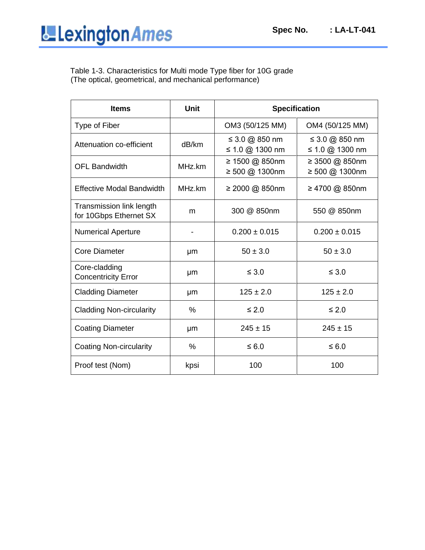Table 1-3. Characteristics for Multi mode Type fiber for 10G grade (The optical, geometrical, and mechanical performance)

| <b>Items</b>                                       | <b>Unit</b> | <b>Specification</b>              |                                   |
|----------------------------------------------------|-------------|-----------------------------------|-----------------------------------|
| Type of Fiber                                      |             | OM3 (50/125 MM)                   | OM4 (50/125 MM)                   |
| Attenuation co-efficient                           | dB/km       | ≤ 3.0 @ 850 nm<br>≤ 1.0 @ 1300 nm | ≤ 3.0 @ 850 nm<br>≤ 1.0 @ 1300 nm |
| <b>OFL Bandwidth</b>                               | MHz.km      | ≥ 1500 @ 850nm<br>≥ 500 @ 1300nm  | ≥ 3500 @ 850nm<br>≥ 500 @ 1300nm  |
| <b>Effective Modal Bandwidth</b>                   | MHz.km      | ≥ 2000 @ 850nm                    | ≥ 4700 @ 850nm                    |
| Transmission link length<br>for 10Gbps Ethernet SX | m           | 300 @ 850nm                       | 550 @ 850nm                       |
| <b>Numerical Aperture</b>                          |             | $0.200 \pm 0.015$                 | $0.200 \pm 0.015$                 |
| <b>Core Diameter</b>                               | μm          | $50 \pm 3.0$                      | $50 \pm 3.0$                      |
| Core-cladding<br><b>Concentricity Error</b>        | μm          | $\leq 3.0$                        | $\leq 3.0$                        |
| <b>Cladding Diameter</b>                           | µm          | $125 \pm 2.0$                     | $125 \pm 2.0$                     |
| <b>Cladding Non-circularity</b>                    | $\%$        | $\leq 2.0$                        | $\leq 2.0$                        |
| <b>Coating Diameter</b>                            | μm          | $245 \pm 15$                      | $245 \pm 15$                      |
| <b>Coating Non-circularity</b>                     | $\%$        | $\leq 6.0$                        | $\leq 6.0$                        |
| Proof test (Nom)                                   | kpsi        | 100                               | 100                               |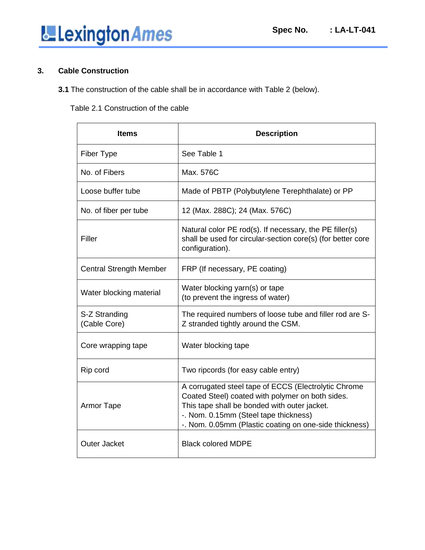#### **3. Cable Construction**

**3.1** The construction of the cable shall be in accordance with Table 2 (below).

Table 2.1 Construction of the cable

| <b>Items</b>                   | <b>Description</b>                                                                                                                                                                                                                                          |
|--------------------------------|-------------------------------------------------------------------------------------------------------------------------------------------------------------------------------------------------------------------------------------------------------------|
| Fiber Type                     | See Table 1                                                                                                                                                                                                                                                 |
| No. of Fibers                  | Max. 576C                                                                                                                                                                                                                                                   |
| Loose buffer tube              | Made of PBTP (Polybutylene Terephthalate) or PP                                                                                                                                                                                                             |
| No. of fiber per tube          | 12 (Max. 288C); 24 (Max. 576C)                                                                                                                                                                                                                              |
| Filler                         | Natural color PE rod(s). If necessary, the PE filler(s)<br>shall be used for circular-section core(s) (for better core<br>configuration).                                                                                                                   |
| <b>Central Strength Member</b> | FRP (If necessary, PE coating)                                                                                                                                                                                                                              |
| Water blocking material        | Water blocking yarn(s) or tape<br>(to prevent the ingress of water)                                                                                                                                                                                         |
| S-Z Stranding<br>(Cable Core)  | The required numbers of loose tube and filler rod are S-<br>Z stranded tightly around the CSM.                                                                                                                                                              |
| Core wrapping tape             | Water blocking tape                                                                                                                                                                                                                                         |
| Rip cord                       | Two ripcords (for easy cable entry)                                                                                                                                                                                                                         |
| <b>Armor Tape</b>              | A corrugated steel tape of ECCS (Electrolytic Chrome<br>Coated Steel) coated with polymer on both sides.<br>This tape shall be bonded with outer jacket.<br>-. Nom. 0.15mm (Steel tape thickness)<br>-. Nom. 0.05mm (Plastic coating on one-side thickness) |
| <b>Outer Jacket</b>            | <b>Black colored MDPE</b>                                                                                                                                                                                                                                   |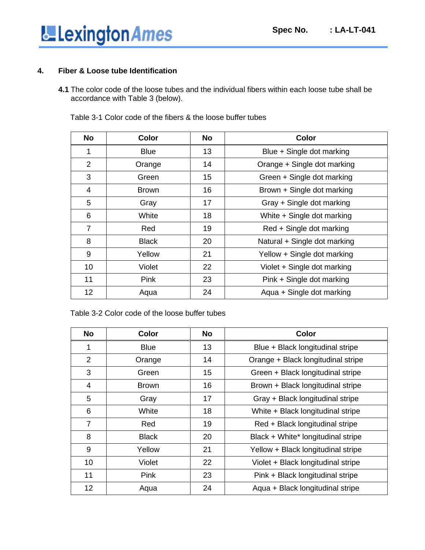

#### **4. Fiber & Loose tube Identification**

**4.1** The color code of the loose tubes and the individual fibers within each loose tube shall be accordance with Table 3 (below).

| <b>No</b>      | Color        | <b>No</b> | Color                        |
|----------------|--------------|-----------|------------------------------|
| 1              | <b>Blue</b>  | 13        | Blue + Single dot marking    |
| $\overline{2}$ | Orange       | 14        | Orange + Single dot marking  |
| 3              | Green        | 15        | Green + Single dot marking   |
| 4              | <b>Brown</b> | 16        | Brown + Single dot marking   |
| 5              | Gray         | 17        | Gray + Single dot marking    |
| 6              | White        | 18        | White + Single dot marking   |
| $\overline{7}$ | Red          | 19        | Red + Single dot marking     |
| 8              | <b>Black</b> | 20        | Natural + Single dot marking |
| 9              | Yellow       | 21        | Yellow + Single dot marking  |
| 10             | Violet       | 22        | Violet + Single dot marking  |
| 11             | Pink         | 23        | Pink + Single dot marking    |
| 12             | Aqua         | 24        | Aqua + Single dot marking    |

Table 3-1 Color code of the fibers & the loose buffer tubes

Table 3-2 Color code of the loose buffer tubes

| No              | <b>Color</b> | No | Color                              |
|-----------------|--------------|----|------------------------------------|
| 1               | <b>Blue</b>  | 13 | Blue + Black longitudinal stripe   |
| $\overline{2}$  | Orange       | 14 | Orange + Black longitudinal stripe |
| 3               | Green        | 15 | Green + Black longitudinal stripe  |
| 4               | <b>Brown</b> | 16 | Brown + Black longitudinal stripe  |
| 5               | Gray         | 17 | Gray + Black longitudinal stripe   |
| 6               | White        | 18 | White + Black longitudinal stripe  |
| $\overline{7}$  | Red          | 19 | Red + Black longitudinal stripe    |
| 8               | <b>Black</b> | 20 | Black + White* longitudinal stripe |
| 9               | Yellow       | 21 | Yellow + Black longitudinal stripe |
| 10              | Violet       | 22 | Violet + Black longitudinal stripe |
| 11              | Pink         | 23 | Pink + Black longitudinal stripe   |
| 12 <sub>2</sub> | Aqua         | 24 | Aqua + Black longitudinal stripe   |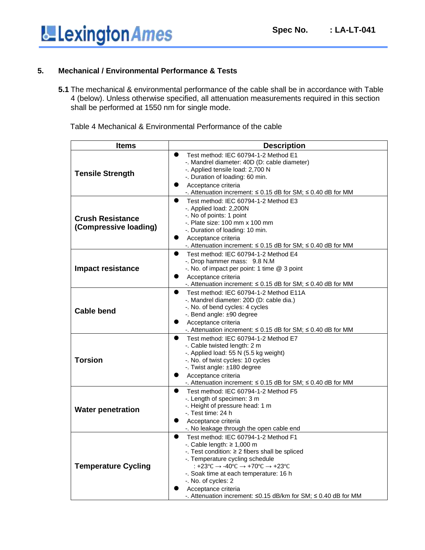

#### **5. Mechanical / Environmental Performance & Tests**

**5.1** The mechanical & environmental performance of the cable shall be in accordance with Table 4 (below). Unless otherwise specified, all attenuation measurements required in this section shall be performed at 1550 nm for single mode.

| Table 4 Mechanical & Environmental Performance of the cable |  |  |  |  |
|-------------------------------------------------------------|--|--|--|--|
|-------------------------------------------------------------|--|--|--|--|

| <b>Items</b>                                     | <b>Description</b>                                                                                                                                                                                                                                                                                                                                                                                              |  |  |  |
|--------------------------------------------------|-----------------------------------------------------------------------------------------------------------------------------------------------------------------------------------------------------------------------------------------------------------------------------------------------------------------------------------------------------------------------------------------------------------------|--|--|--|
| <b>Tensile Strength</b>                          | $\bullet$<br>Test method: IEC 60794-1-2 Method E1<br>-. Mandrel diameter: 40D (D: cable diameter)<br>-. Applied tensile load: 2,700 N<br>-. Duration of loading: 60 min.<br>Acceptance criteria<br>$\bullet$<br>-. Attenuation increment: $\leq$ 0.15 dB for SM; $\leq$ 0.40 dB for MM                                                                                                                          |  |  |  |
| <b>Crush Resistance</b><br>(Compressive loading) | $\bullet$<br>Test method: IEC 60794-1-2 Method E3<br>-. Applied load: 2,200N<br>-. No of points: 1 point<br>$-$ . Plate size: 100 mm x 100 mm<br>-. Duration of loading: 10 min.<br>Acceptance criteria<br>$\bullet$<br>-. Attenuation increment: $\leq 0.15$ dB for SM; $\leq 0.40$ dB for MM                                                                                                                  |  |  |  |
| <b>Impact resistance</b>                         | $\bullet$<br>Test method: IEC 60794-1-2 Method E4<br>-. Drop hammer mass: 9.8 N.M<br>-. No. of impact per point: 1 time @ 3 point<br>Acceptance criteria<br>$\bullet$<br>-. Attenuation increment: $\leq$ 0.15 dB for SM; $\leq$ 0.40 dB for MM                                                                                                                                                                 |  |  |  |
| <b>Cable bend</b>                                | $\bullet$<br>Test method: IEC 60794-1-2 Method E11A<br>-. Mandrel diameter: 20D (D: cable dia.)<br>-. No. of bend cycles: 4 cycles<br>-. Bend angle: ±90 degree<br>Acceptance criteria<br>$\bullet$<br>-. Attenuation increment: $\leq 0.15$ dB for SM; $\leq 0.40$ dB for MM                                                                                                                                   |  |  |  |
| <b>Torsion</b>                                   | Test method: IEC 60794-1-2 Method E7<br>$\bullet$<br>-. Cable twisted length: 2 m<br>-. Applied load: 55 N (5.5 kg weight)<br>-. No. of twist cycles: 10 cycles<br>-. Twist angle: $\pm 180$ degree<br>Acceptance criteria<br>$\bullet$<br>-. Attenuation increment: $\leq 0.15$ dB for SM; $\leq 0.40$ dB for MM                                                                                               |  |  |  |
| <b>Water penetration</b>                         | Test method: IEC 60794-1-2 Method F5<br>$\bullet$<br>-. Length of specimen: 3 m<br>-. Height of pressure head: 1 m<br>-. Test time: 24 h<br>$\bullet$<br>Acceptance criteria<br>-. No leakage through the open cable end                                                                                                                                                                                        |  |  |  |
| <b>Temperature Cycling</b>                       | $\bullet$<br>Test method: IEC 60794-1-2 Method F1<br>-. Cable length: $\geq 1,000$ m<br>-. Test condition: $\geq 2$ fibers shall be spliced<br>-. Temperature cycling schedule<br>: +23°C $\rightarrow$ -40°C $\rightarrow$ +70°C $\rightarrow$ +23°C<br>-. Soak time at each temperature: 16 h<br>-. No. of cycles: 2<br>Acceptance criteria<br>-. Attenuation increment: ≤0.15 dB/km for SM; ≤ 0.40 dB for MM |  |  |  |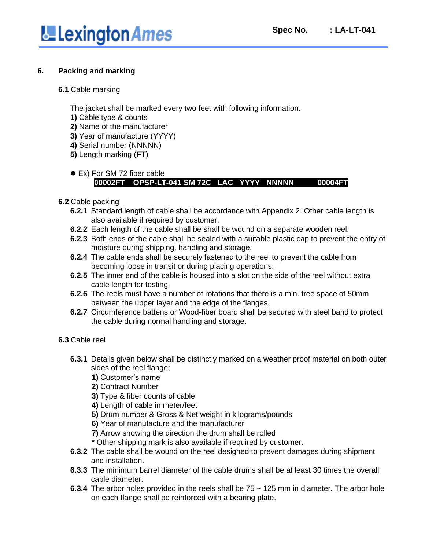

#### **6. Packing and marking**

#### **6.1** Cable marking

The jacket shall be marked every two feet with following information.

- **1)** Cable type & counts
- **2)** Name of the manufacturer
- **3)** Year of manufacture (YYYY)
- **4)** Serial number (NNNNN)
- **5)** Length marking (FT)

#### ● Ex) For SM 72 fiber cable  **00002FT OPSP-LT-041 SM 72C LAC YYYY NNNNN 00004FT**

#### **6.2** Cable packing

- **6.2.1** Standard length of cable shall be accordance with Appendix 2. Other cable length is also available if required by customer.
- **6.2.2** Each length of the cable shall be shall be wound on a separate wooden reel.
- **6.2.3** Both ends of the cable shall be sealed with a suitable plastic cap to prevent the entry of moisture during shipping, handling and storage.
- **6.2.4** The cable ends shall be securely fastened to the reel to prevent the cable from becoming loose in transit or during placing operations.
- **6.2.5** The inner end of the cable is housed into a slot on the side of the reel without extra cable length for testing.
- **6.2.6** The reels must have a number of rotations that there is a min. free space of 50mm between the upper layer and the edge of the flanges.
- **6.2.7** Circumference battens or Wood-fiber board shall be secured with steel band to protect the cable during normal handling and storage.

#### **6.3** Cable reel

- **6.3.1** Details given below shall be distinctly marked on a weather proof material on both outer sides of the reel flange;
	- **1)** Customer's name
	- **2)** Contract Number
	- **3)** Type & fiber counts of cable
	- **4)** Length of cable in meter/feet
	- **5)** Drum number & Gross & Net weight in kilograms/pounds
	- **6)** Year of manufacture and the manufacturer
	- **7)** Arrow showing the direction the drum shall be rolled
	- \* Other shipping mark is also available if required by customer.
- **6.3.2** The cable shall be wound on the reel designed to prevent damages during shipment and installation.
- **6.3.3** The minimum barrel diameter of the cable drums shall be at least 30 times the overall cable diameter.
- **6.3.4** The arbor holes provided in the reels shall be 75 ~ 125 mm in diameter. The arbor hole on each flange shall be reinforced with a bearing plate.